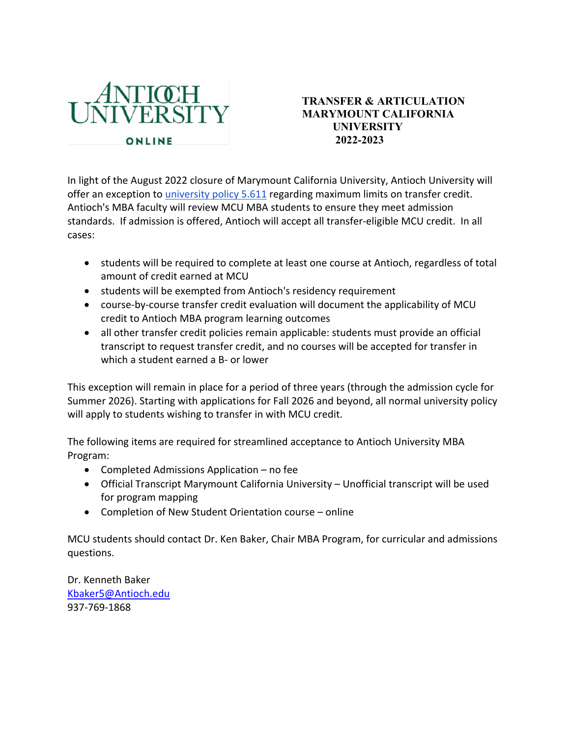

## **TRANSFER & ARTICULATION MARYMOUNT CALIFORNIA UNIVERSITY 2022-2023**

In light of the August 2022 closure of Marymount California University, Antioch University will offer an exception to university policy 5.611 regarding maximum limits on transfer credit. Antioch's MBA faculty will review MCU MBA students to ensure they meet admission standards. If admission is offered, Antioch will accept all transfer-eligible MCU credit. In all cases:

- students will be required to complete at least one course at Antioch, regardless of total amount of credit earned at MCU
- students will be exempted from Antioch's residency requirement
- course-by-course transfer credit evaluation will document the applicability of MCU credit to Antioch MBA program learning outcomes
- all other transfer credit policies remain applicable: students must provide an official transcript to request transfer credit, and no courses will be accepted for transfer in which a student earned a B- or lower

This exception will remain in place for a period of three years (through the admission cycle for Summer 2026). Starting with applications for Fall 2026 and beyond, all normal university policy will apply to students wishing to transfer in with MCU credit.

The following items are required for streamlined acceptance to Antioch University MBA Program:

- Completed Admissions Application no fee
- Official Transcript Marymount California University Unofficial transcript will be used for program mapping
- Completion of New Student Orientation course online

MCU students should contact Dr. Ken Baker, Chair MBA Program, for curricular and admissions questions.

Dr. Kenneth Baker Kbaker5@Antioch.edu 937-769-1868